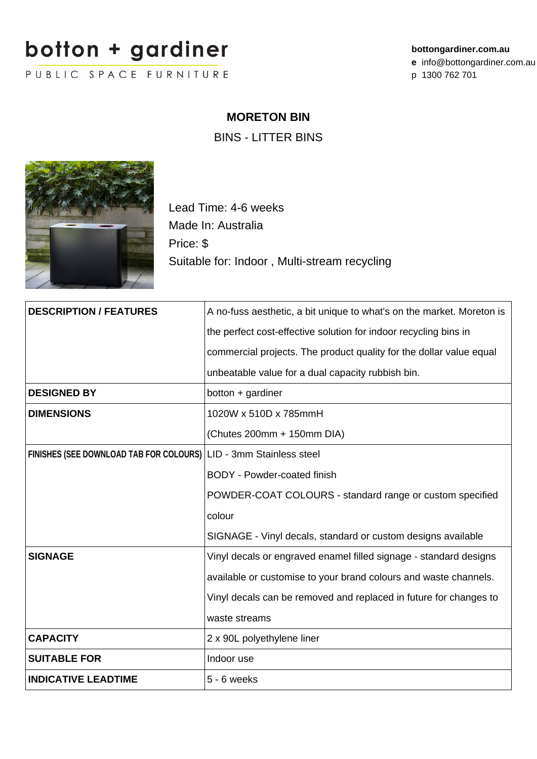## botton + gardiner

PUBLIC SPACE FURNITURE

## **MORETON BIN**

BINS - LITTER BINS



Lead Time: 4-6 weeks Made In: Australia Price: \$ Suitable for: Indoor , Multi-stream recycling

| <b>DESCRIPTION / FEATURES</b>                                     | A no-fuss aesthetic, a bit unique to what's on the market. Moreton is |
|-------------------------------------------------------------------|-----------------------------------------------------------------------|
|                                                                   | the perfect cost-effective solution for indoor recycling bins in      |
|                                                                   | commercial projects. The product quality for the dollar value equal   |
|                                                                   | unbeatable value for a dual capacity rubbish bin.                     |
| <b>DESIGNED BY</b>                                                | botton + gardiner                                                     |
| <b>DIMENSIONS</b>                                                 | 1020W x 510D x 785mmH                                                 |
|                                                                   | (Chutes 200mm + 150mm DIA)                                            |
| FINISHES (SEE DOWNLOAD TAB FOR COLOURS) LID - 3mm Stainless steel |                                                                       |
|                                                                   | <b>BODY</b> - Powder-coated finish                                    |
|                                                                   | POWDER-COAT COLOURS - standard range or custom specified              |
|                                                                   | colour                                                                |
|                                                                   | SIGNAGE - Vinyl decals, standard or custom designs available          |
| <b>SIGNAGE</b>                                                    | Vinyl decals or engraved enamel filled signage - standard designs     |
|                                                                   | available or customise to your brand colours and waste channels.      |
|                                                                   | Vinyl decals can be removed and replaced in future for changes to     |
|                                                                   | waste streams                                                         |
| <b>CAPACITY</b>                                                   | 2 x 90L polyethylene liner                                            |
| <b>SUITABLE FOR</b>                                               | Indoor use                                                            |
| <b>INDICATIVE LEADTIME</b>                                        | $5 - 6$ weeks                                                         |
|                                                                   |                                                                       |